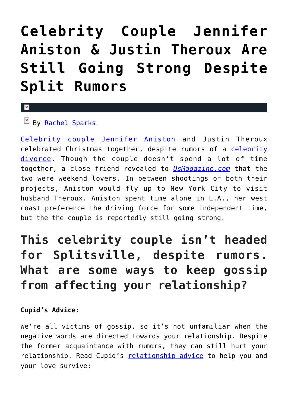## **[Celebrity Couple Jennifer](https://cupidspulse.com/122271/celebrity-couple-jennifer-anniston-justin-theroux-are-still-strong-despite-rumors/) [Aniston & Justin Theroux Are](https://cupidspulse.com/122271/celebrity-couple-jennifer-anniston-justin-theroux-are-still-strong-despite-rumors/) [Still Going Strong Despite](https://cupidspulse.com/122271/celebrity-couple-jennifer-anniston-justin-theroux-are-still-strong-despite-rumors/) [Split Rumors](https://cupidspulse.com/122271/celebrity-couple-jennifer-anniston-justin-theroux-are-still-strong-despite-rumors/)**

## $\mathbf{R}$

 $By$  [Rachel Sparks](http://cupidspulse.com/121112/rachel-sparks/)

[Celebrity couple](http://cupidspulse.com/celebrity-news/celebrity-dating/) [Jennifer Aniston](http://cupidspulse.com/86079/jennifer-aniston/) and Justin Theroux celebrated Christmas together, despite rumors of a [celebrity](http://cupidspulse.com/celebrity-relationships/break-up-divorce/) [divorce](http://cupidspulse.com/celebrity-relationships/break-up-divorce/). Though the couple doesn't spend a lot of time together, a close friend revealed to *[UsMagazine.com](https://www.usmagazine.com/celebrity-news/news/jennifer-aniston-and-justin-theroux-are-still-going-strong/)* that the two were weekend lovers. In between shootings of both their projects, Aniston would fly up to New York City to visit husband Theroux. Aniston spent time alone in L.A., her west coast preference the driving force for some independent time, but the the couple is reportedly still going strong.

## **This celebrity couple isn't headed for Splitsville, despite rumors. What are some ways to keep gossip from affecting your relationship?**

## **Cupid's Advice:**

We're all victims of gossip, so it's not unfamiliar when the negative words are directed towards your relationship. Despite the former acquaintance with rumors, they can still hurt your relationship. Read Cupid's [relationship advice](http://cupidspulse.com/relationship-experts/) to help you and your love survive: